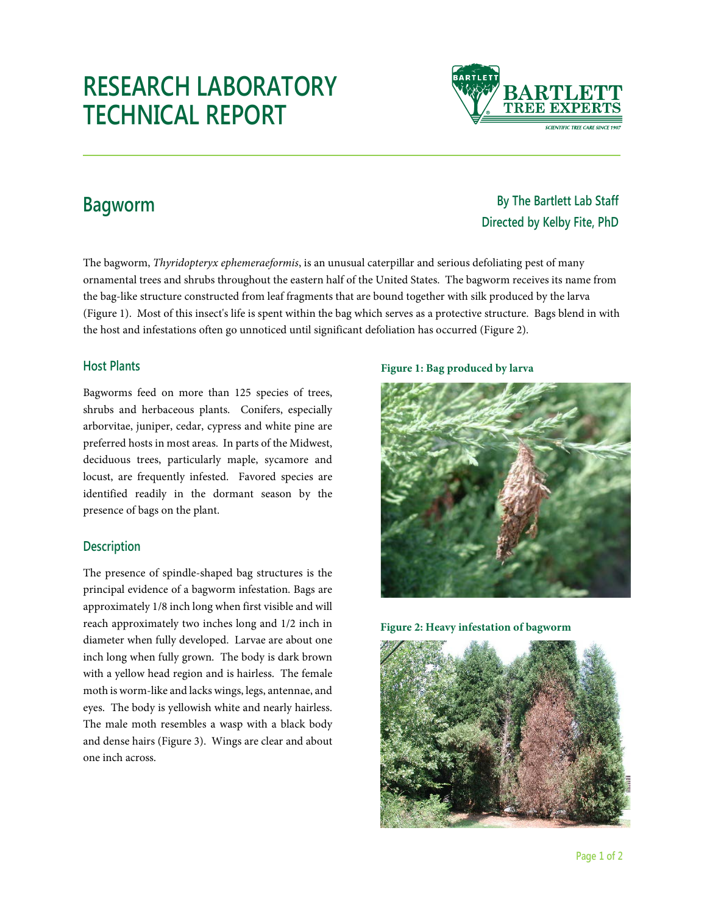# **RESEARCH LABORATORY TECHNICAL REPORT**

**By The Bartlett Lab Staff Directed by Kelby Fite, PhD**

# **Bagworm**

The bagworm, *Thyridopteryx ephemeraeformis*, is an unusual caterpillar and serious defoliating pest of many ornamental trees and shrubs throughout the eastern half of the United States. The bagworm receives its name from the bag-like structure constructed from leaf fragments that are bound together with silk produced by the larva (Figure 1). Most of this insect's life is spent within the bag which serves as a protective structure. Bags blend in with the host and infestations often go unnoticed until significant defoliation has occurred (Figure 2).

### **Host Plants**

Bagworms feed on more than 125 species of trees, shrubs and herbaceous plants. Conifers, especially arborvitae, juniper, cedar, cypress and white pine are preferred hosts in most areas. In parts of the Midwest, deciduous trees, particularly maple, sycamore and locust, are frequently infested. Favored species are identified readily in the dormant season by the presence of bags on the plant.

## **Description**

The presence of spindle-shaped bag structures is the principal evidence of a bagworm infestation. Bags are approximately 1/8 inch long when first visible and will reach approximately two inches long and 1/2 inch in diameter when fully developed. Larvae are about one inch long when fully grown. The body is dark brown with a yellow head region and is hairless. The female moth is worm-like and lacks wings, legs, antennae, and eyes. The body is yellowish white and nearly hairless. The male moth resembles a wasp with a black body and dense hairs (Figure 3). Wings are clear and about one inch across.

#### **Figure 1: Bag produced by larva**



**Figure 2: Heavy infestation of bagworm**